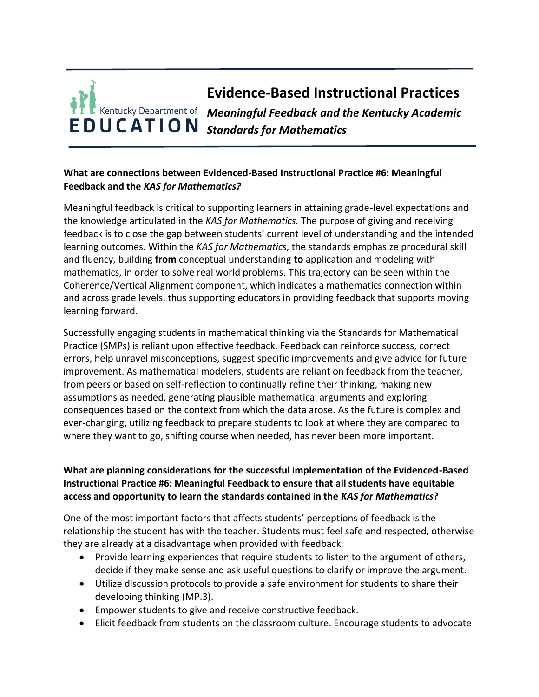## **Evidence-Based Instructional Practices** *Meaningful Feedback and the Kentucky Academic*  **EDUCATION** Standards for Mathematics

## **What are connections between Evidenced-Based Instructional Practice #6: Meaningful Feedback and the** *KAS for Mathematics?*

Meaningful feedback is critical to supporting learners in attaining grade-level expectations and the knowledge articulated in the *KAS for Mathematics.* The purpose of giving and receiving feedback is to close the gap between students' current level of understanding and the intended learning outcomes. Within the *KAS for Mathematics*, the standards emphasize procedural skill and fluency, building **from** conceptual understanding **to** application and modeling with mathematics, in order to solve real world problems. This trajectory can be seen within the Coherence/Vertical Alignment component, which indicates a mathematics connection within and across grade levels, thus supporting educators in providing feedback that supports moving learning forward.

Successfully engaging students in mathematical thinking via the Standards for Mathematical Practice (SMPs) is reliant upon effective feedback. Feedback can reinforce success, correct errors, help unravel misconceptions, suggest specific improvements and give advice for future improvement. As mathematical modelers, students are reliant on feedback from the teacher, from peers or based on self-reflection to continually refine their thinking, making new assumptions as needed, generating plausible mathematical arguments and exploring consequences based on the context from which the data arose. As the future is complex and ever-changing, utilizing feedback to prepare students to look at where they are compared to where they want to go, shifting course when needed, has never been more important.

## **What are planning considerations for the successful implementation of the Evidenced-Based Instructional Practice #6: Meaningful Feedback to ensure that all students have equitable access and opportunity to learn the standards contained in the** *KAS for Mathematics***?**

One of the most important factors that affects students' perceptions of feedback is the relationship the student has with the teacher. Students must feel safe and respected, otherwise they are already at a disadvantage when provided with feedback.

- Provide learning experiences that require students to listen to the argument of others, decide if they make sense and ask useful questions to clarify or improve the argument.
- Utilize discussion protocols to provide a safe environment for students to share their developing thinking (MP.3).
- Empower students to give and receive constructive feedback.
- Elicit feedback from students on the classroom culture. Encourage students to advocate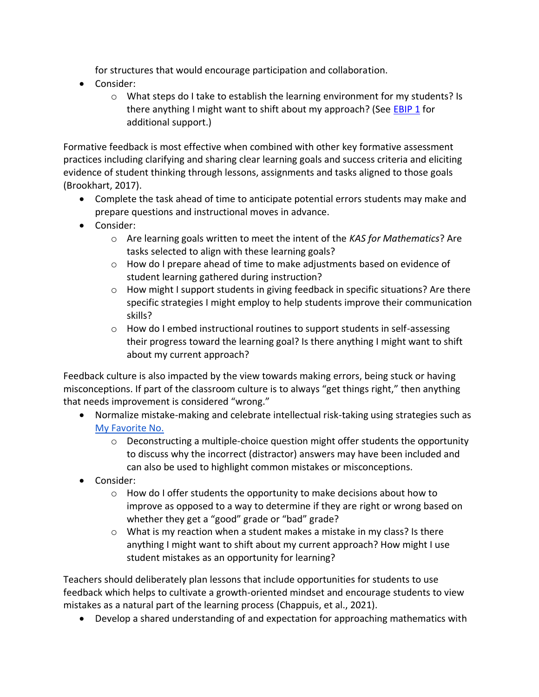for structures that would encourage participation and collaboration.

- Consider:
	- o What steps do I take to establish the learning environment for my students? Is there anything I might want to shift about my approach? (See **EBIP 1** for additional support.)

Formative feedback is most effective when combined with other key formative assessment practices including clarifying and sharing clear learning goals and success criteria and eliciting evidence of student thinking through lessons, assignments and tasks aligned to those goals (Brookhart, 2017).

- Complete the task ahead of time to anticipate potential errors students may make and prepare questions and instructional moves in advance.
- Consider:
	- o Are learning goals written to meet the intent of the *KAS for Mathematics*? Are tasks selected to align with these learning goals?
	- $\circ$  How do I prepare ahead of time to make adjustments based on evidence of student learning gathered during instruction?
	- o How might I support students in giving feedback in specific situations? Are there specific strategies I might employ to help students improve their communication skills?
	- o How do I embed instructional routines to support students in self-assessing their progress toward the learning goal? Is there anything I might want to shift about my current approach?

Feedback culture is also impacted by the view towards making errors, being stuck or having misconceptions. If part of the classroom culture is to always "get things right," then anything that needs improvement is considered "wrong."

- Normalize mistake-making and celebrate intellectual risk-taking using strategies such a[s](https://learn.teachingchannel.com/video/class-warm-up-routine) [My Favorite No.](https://learn.teachingchannel.com/video/class-warm-up-routine)
	- $\circ$  Deconstructing a multiple-choice question might offer students the opportunity to discuss why the incorrect (distractor) answers may have been included and can also be used to highlight common mistakes or misconceptions.
- Consider:
	- o How do I offer students the opportunity to make decisions about how to improve as opposed to a way to determine if they are right or wrong based on whether they get a "good" grade or "bad" grade?
	- o What is my reaction when a student makes a mistake in my class? Is there anything I might want to shift about my current approach? How might I use student mistakes as an opportunity for learning?

Teachers should deliberately plan lessons that include opportunities for students to use feedback which helps to cultivate a growth-oriented mindset and encourage students to view mistakes as a natural part of the learning process (Chappuis, et al., 2021).

• Develop a shared understanding of and expectation for approaching mathematics with